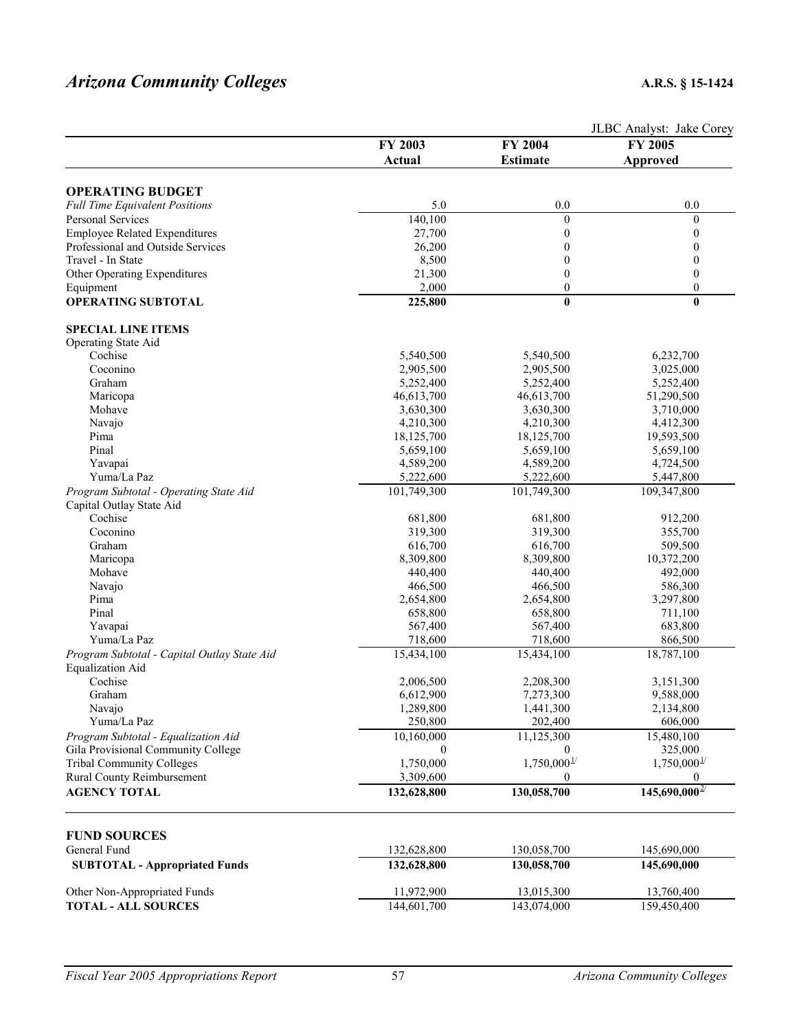# *Arizona Community Colleges* **A.R.S. § 15-1424**

|                                             |                         | JLBC Analyst: Jake Corey  |                           |  |
|---------------------------------------------|-------------------------|---------------------------|---------------------------|--|
|                                             | FY 2003                 | FY 2004                   | FY 2005                   |  |
|                                             | Actual                  | <b>Estimate</b>           | <b>Approved</b>           |  |
|                                             |                         |                           |                           |  |
| <b>OPERATING BUDGET</b>                     |                         |                           |                           |  |
| <b>Full Time Equivalent Positions</b>       | 5.0                     | 0.0                       | 0.0                       |  |
| <b>Personal Services</b>                    | 140,100                 | $\boldsymbol{0}$          | $\boldsymbol{0}$          |  |
| <b>Employee Related Expenditures</b>        | 27,700                  | $\boldsymbol{0}$          | $\boldsymbol{0}$          |  |
| Professional and Outside Services           | 26,200                  | $\mathbf{0}$              | 0                         |  |
| Travel - In State                           | 8,500                   | $\mathbf{0}$              | 0                         |  |
| Other Operating Expenditures                | 21,300                  | $\mathbf{0}$              | $\boldsymbol{0}$          |  |
| Equipment                                   | 2,000                   | $\boldsymbol{0}$          | $\boldsymbol{0}$          |  |
| <b>OPERATING SUBTOTAL</b>                   | 225,800                 | $\bf{0}$                  | $\bf{0}$                  |  |
| <b>SPECIAL LINE ITEMS</b>                   |                         |                           |                           |  |
| Operating State Aid                         |                         |                           |                           |  |
| Cochise                                     | 5,540,500               | 5,540,500                 | 6,232,700                 |  |
| Coconino                                    | 2,905,500               | 2,905,500                 | 3,025,000                 |  |
| Graham                                      |                         |                           |                           |  |
|                                             | 5,252,400               | 5,252,400                 | 5,252,400                 |  |
| Maricopa                                    | 46,613,700              | 46,613,700                | 51,290,500                |  |
| Mohave                                      | 3,630,300               | 3,630,300                 | 3,710,000                 |  |
| Navajo                                      | 4,210,300               | 4,210,300                 | 4,412,300                 |  |
| Pima                                        | 18,125,700              | 18,125,700                | 19,593,500                |  |
| Pinal                                       | 5,659,100               | 5,659,100                 | 5,659,100                 |  |
| Yavapai                                     | 4,589,200               | 4,589,200                 | 4,724,500                 |  |
| Yuma/La Paz                                 | 5,222,600               | 5,222,600                 | 5,447,800                 |  |
| Program Subtotal - Operating State Aid      | 101,749,300             | 101,749,300               | 109,347,800               |  |
| Capital Outlay State Aid                    |                         |                           |                           |  |
| Cochise                                     | 681,800                 | 681,800                   | 912,200                   |  |
| Coconino                                    | 319,300                 | 319,300                   | 355,700                   |  |
| Graham                                      |                         |                           |                           |  |
|                                             | 616,700                 | 616,700                   | 509,500                   |  |
| Maricopa                                    | 8,309,800               | 8,309,800                 | 10,372,200                |  |
| Mohave                                      | 440,400                 | 440,400                   | 492,000                   |  |
| Navajo                                      | 466,500                 | 466,500                   | 586,300                   |  |
| Pima                                        | 2,654,800               | 2,654,800                 | 3,297,800                 |  |
| Pinal                                       | 658,800                 | 658,800                   | 711,100                   |  |
| Yavapai                                     | 567,400                 | 567,400                   | 683,800                   |  |
| Yuma/La Paz                                 | 718,600                 | 718,600                   | 866,500                   |  |
| Program Subtotal - Capital Outlay State Aid | $\overline{15,}434,100$ | 15,434,100                | 18,787,100                |  |
| <b>Equalization Aid</b>                     |                         |                           |                           |  |
| Cochise                                     | 2,006,500               | 2,208,300                 | 3,151,300                 |  |
| Graham                                      | 6,612,900               | 7,273,300                 | 9,588,000                 |  |
| Navajo                                      | 1,289,800               | 1,441,300                 | 2,134,800                 |  |
| Yuma/La Paz                                 | 250,800                 | 202,400                   | 606,000                   |  |
|                                             |                         |                           |                           |  |
| Program Subtotal - Equalization Aid         | 10,160,000              | 11,125,300                | 15,480,100                |  |
| Gila Provisional Community College          | $\mathbf{0}$            | 0                         | 325,000                   |  |
| <b>Tribal Community Colleges</b>            | 1,750,000               | $1,750,000^{\frac{1}{2}}$ | $1,750,000^{\frac{1}{2}}$ |  |
| Rural County Reimbursement                  | 3,309,600               | 0                         | $\boldsymbol{0}$          |  |
| <b>AGENCY TOTAL</b>                         | 132,628,800             | 130,058,700               | $145,690,000^{27}$        |  |
|                                             |                         |                           |                           |  |
| <b>FUND SOURCES</b>                         |                         |                           |                           |  |
| General Fund                                | 132,628,800             | 130,058,700               | 145,690,000               |  |
| <b>SUBTOTAL - Appropriated Funds</b>        | 132,628,800             | 130,058,700               | 145,690,000               |  |
| Other Non-Appropriated Funds                | 11,972,900              | 13,015,300                | 13,760,400                |  |
| <b>TOTAL - ALL SOURCES</b>                  | 144,601,700             | 143,074,000               | 159,450,400               |  |
|                                             |                         |                           |                           |  |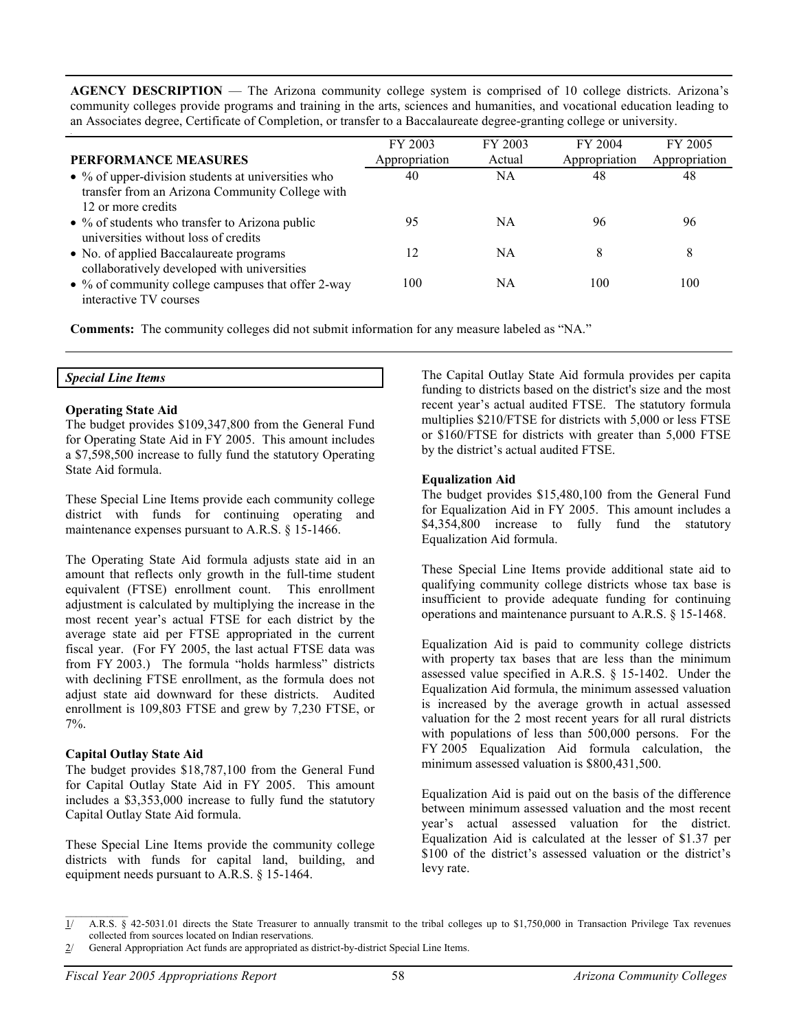**AGENCY DESCRIPTION** — The Arizona community college system is comprised of 10 college districts. Arizona's community colleges provide programs and training in the arts, sciences and humanities, and vocational education leading to an Associates degree, Certificate of Completion, or transfer to a Baccalaureate degree-granting college or university.

| <b>PERFORMANCE MEASURES</b>                                                                                                         | FY 2003<br>Appropriation | FY 2003<br>Actual | FY 2004<br>Appropriation | FY 2005<br>Appropriation |
|-------------------------------------------------------------------------------------------------------------------------------------|--------------------------|-------------------|--------------------------|--------------------------|
| $\bullet$ % of upper-division students at universities who<br>transfer from an Arizona Community College with<br>12 or more credits | 40                       | NA                | 48                       | 48                       |
| $\bullet$ % of students who transfer to Arizona public<br>universities without loss of credits                                      | 95                       | NA                | 96                       | 96                       |
| • No. of applied Baccalaureate programs<br>collaboratively developed with universities                                              | 12                       | NA                | 8                        | 8                        |
| • % of community college campuses that offer 2-way<br>interactive TV courses                                                        | 100                      | ΝA                | 100                      | 100                      |

**Comments:** The community colleges did not submit information for any measure labeled as "NA."

#### *Special Line Items*

#### **Operating State Aid**

The budget provides \$109,347,800 from the General Fund for Operating State Aid in FY 2005. This amount includes a \$7,598,500 increase to fully fund the statutory Operating State Aid formula.

These Special Line Items provide each community college district with funds for continuing operating and maintenance expenses pursuant to A.R.S. § 15-1466.

The Operating State Aid formula adjusts state aid in an amount that reflects only growth in the full-time student equivalent (FTSE) enrollment count. This enrollment adjustment is calculated by multiplying the increase in the most recent year's actual FTSE for each district by the average state aid per FTSE appropriated in the current fiscal year. (For FY 2005, the last actual FTSE data was from FY 2003.) The formula "holds harmless" districts with declining FTSE enrollment, as the formula does not adjust state aid downward for these districts. Audited enrollment is 109,803 FTSE and grew by 7,230 FTSE, or 7%.

## **Capital Outlay State Aid**

The budget provides \$18,787,100 from the General Fund for Capital Outlay State Aid in FY 2005. This amount includes a \$3,353,000 increase to fully fund the statutory Capital Outlay State Aid formula.

These Special Line Items provide the community college districts with funds for capital land, building, and equipment needs pursuant to A.R.S. § 15-1464.

The Capital Outlay State Aid formula provides per capita funding to districts based on the district's size and the most recent year's actual audited FTSE. The statutory formula multiplies \$210/FTSE for districts with 5,000 or less FTSE or \$160/FTSE for districts with greater than 5,000 FTSE by the district's actual audited FTSE.

## **Equalization Aid**

The budget provides \$15,480,100 from the General Fund for Equalization Aid in FY 2005. This amount includes a \$4,354,800 increase to fully fund the statutory Equalization Aid formula.

These Special Line Items provide additional state aid to qualifying community college districts whose tax base is insufficient to provide adequate funding for continuing operations and maintenance pursuant to A.R.S. § 15-1468.

Equalization Aid is paid to community college districts with property tax bases that are less than the minimum assessed value specified in A.R.S. § 15-1402. Under the Equalization Aid formula, the minimum assessed valuation is increased by the average growth in actual assessed valuation for the 2 most recent years for all rural districts with populations of less than 500,000 persons. For the FY 2005 Equalization Aid formula calculation, the minimum assessed valuation is \$800,431,500.

Equalization Aid is paid out on the basis of the difference between minimum assessed valuation and the most recent year's actual assessed valuation for the district. Equalization Aid is calculated at the lesser of \$1.37 per \$100 of the district's assessed valuation or the district's levy rate.

 $\overline{1}$  A.R.S. § 42-5031.01 directs the State Treasurer to annually transmit to the tribal colleges up to \$1,750,000 in Transaction Privilege Tax revenues collected from sources located on Indian reservations.

<sup>2/</sup> General Appropriation Act funds are appropriated as district-by-district Special Line Items.